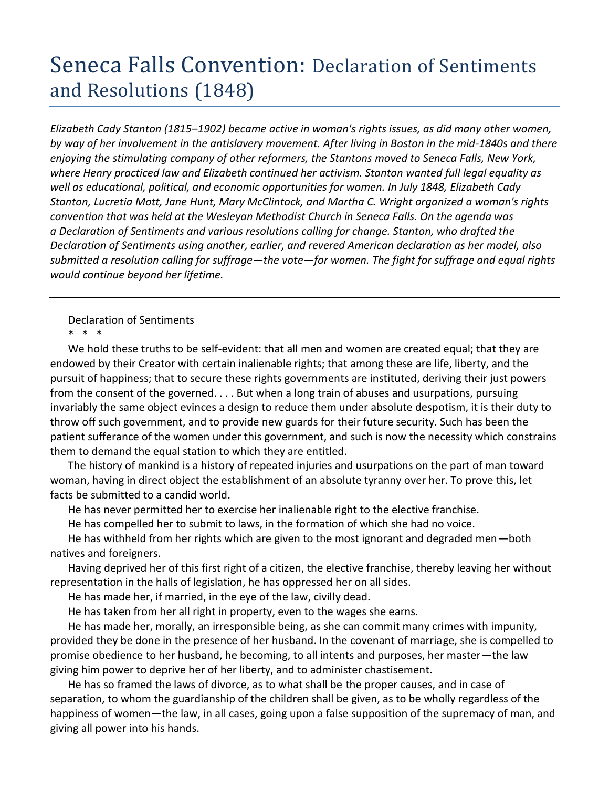## Seneca Falls Convention: Declaration of Sentiments and Resolutions (1848)

*Elizabeth Cady Stanton (1815–1902) became active in woman's rights issues, as did many other women, by way of her involvement in the antislavery movement. After living in Boston in the mid-1840s and there enjoying the stimulating company of other reformers, the Stantons moved to Seneca Falls, New York, where Henry practiced law and Elizabeth continued her activism. Stanton wanted full legal equality as well as educational, political, and economic opportunities for women. In July 1848, Elizabeth Cady Stanton, Lucretia Mott, Jane Hunt, Mary McClintock, and Martha C. Wright organized a woman's rights convention that was held at the Wesleyan Methodist Church in Seneca Falls. On the agenda was a Declaration of Sentiments and various resolutions calling for change. Stanton, who drafted the Declaration of Sentiments using another, earlier, and revered American declaration as her model, also submitted a resolution calling for suffrage—the vote—for women. The fight for suffrage and equal rights would continue beyond her lifetime.*

Declaration of Sentiments \* \* \*

We hold these truths to be self-evident: that all men and women are created equal; that they are endowed by their Creator with certain inalienable rights; that among these are life, liberty, and the pursuit of happiness; that to secure these rights governments are instituted, deriving their just powers from the consent of the governed. . . . But when a long train of abuses and usurpations, pursuing invariably the same object evinces a design to reduce them under absolute despotism, it is their duty to throw off such government, and to provide new guards for their future security. Such has been the patient sufferance of the women under this government, and such is now the necessity which constrains them to demand the equal station to which they are entitled.

The history of mankind is a history of repeated injuries and usurpations on the part of man toward woman, having in direct object the establishment of an absolute tyranny over her. To prove this, let facts be submitted to a candid world.

He has never permitted her to exercise her inalienable right to the elective franchise.

He has compelled her to submit to laws, in the formation of which she had no voice.

He has withheld from her rights which are given to the most ignorant and degraded men—both natives and foreigners.

Having deprived her of this first right of a citizen, the elective franchise, thereby leaving her without representation in the halls of legislation, he has oppressed her on all sides.

He has made her, if married, in the eye of the law, civilly dead.

He has taken from her all right in property, even to the wages she earns.

He has made her, morally, an irresponsible being, as she can commit many crimes with impunity, provided they be done in the presence of her husband. In the covenant of marriage, she is compelled to promise obedience to her husband, he becoming, to all intents and purposes, her master—the law giving him power to deprive her of her liberty, and to administer chastisement.

He has so framed the laws of divorce, as to what shall be the proper causes, and in case of separation, to whom the guardianship of the children shall be given, as to be wholly regardless of the happiness of women—the law, in all cases, going upon a false supposition of the supremacy of man, and giving all power into his hands.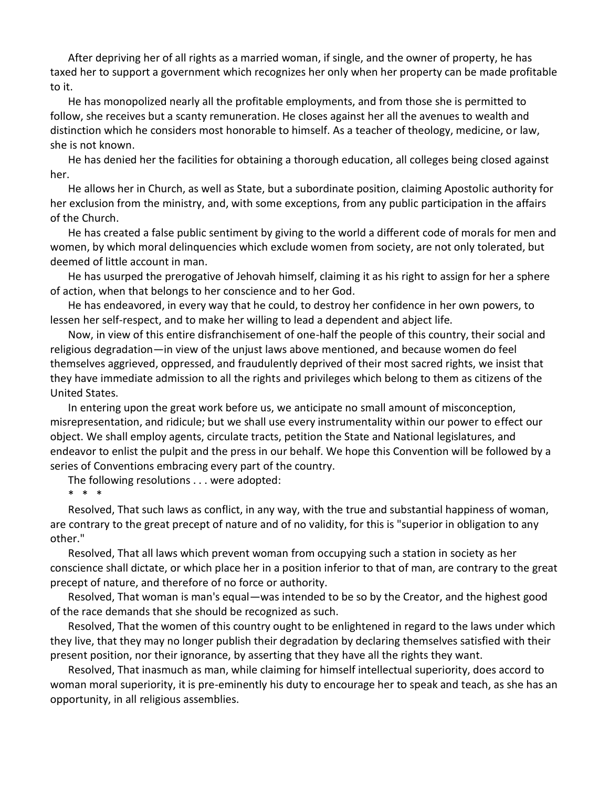After depriving her of all rights as a married woman, if single, and the owner of property, he has taxed her to support a government which recognizes her only when her property can be made profitable to it.

He has monopolized nearly all the profitable employments, and from those she is permitted to follow, she receives but a scanty remuneration. He closes against her all the avenues to wealth and distinction which he considers most honorable to himself. As a teacher of theology, medicine, or law, she is not known.

He has denied her the facilities for obtaining a thorough education, all colleges being closed against her.

He allows her in Church, as well as State, but a subordinate position, claiming Apostolic authority for her exclusion from the ministry, and, with some exceptions, from any public participation in the affairs of the Church.

He has created a false public sentiment by giving to the world a different code of morals for men and women, by which moral delinquencies which exclude women from society, are not only tolerated, but deemed of little account in man.

He has usurped the prerogative of Jehovah himself, claiming it as his right to assign for her a sphere of action, when that belongs to her conscience and to her God.

He has endeavored, in every way that he could, to destroy her confidence in her own powers, to lessen her self-respect, and to make her willing to lead a dependent and abject life.

Now, in view of this entire disfranchisement of one-half the people of this country, their social and religious degradation—in view of the unjust laws above mentioned, and because women do feel themselves aggrieved, oppressed, and fraudulently deprived of their most sacred rights, we insist that they have immediate admission to all the rights and privileges which belong to them as citizens of the United States.

In entering upon the great work before us, we anticipate no small amount of misconception, misrepresentation, and ridicule; but we shall use every instrumentality within our power to effect our object. We shall employ agents, circulate tracts, petition the State and National legislatures, and endeavor to enlist the pulpit and the press in our behalf. We hope this Convention will be followed by a series of Conventions embracing every part of the country.

The following resolutions . . . were adopted:

\* \* \*

Resolved, That such laws as conflict, in any way, with the true and substantial happiness of woman, are contrary to the great precept of nature and of no validity, for this is "superior in obligation to any other."

Resolved, That all laws which prevent woman from occupying such a station in society as her conscience shall dictate, or which place her in a position inferior to that of man, are contrary to the great precept of nature, and therefore of no force or authority.

Resolved, That woman is man's equal—was intended to be so by the Creator, and the highest good of the race demands that she should be recognized as such.

Resolved, That the women of this country ought to be enlightened in regard to the laws under which they live, that they may no longer publish their degradation by declaring themselves satisfied with their present position, nor their ignorance, by asserting that they have all the rights they want.

Resolved, That inasmuch as man, while claiming for himself intellectual superiority, does accord to woman moral superiority, it is pre-eminently his duty to encourage her to speak and teach, as she has an opportunity, in all religious assemblies.